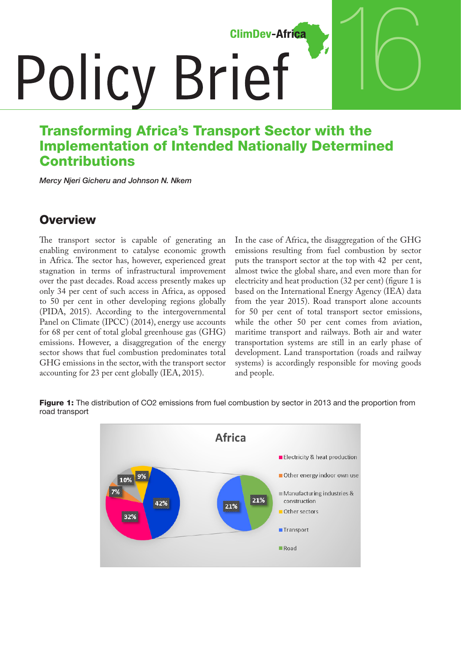**ClimDev-Africa** 

# **Policy Brief**

# Transforming Africa's Transport Sector with the Implementation of Intended Nationally Determined **Contributions**

*Mercy Njeri Gicheru and Johnson N. Nkem*

## **Overview**

The transport sector is capable of generating an enabling environment to catalyse economic growth in Africa. The sector has, however, experienced great stagnation in terms of infrastructural improvement over the past decades. Road access presently makes up only 34 per cent of such access in Africa, as opposed to 50 per cent in other developing regions globally (PIDA, 2015). According to the intergovernmental Panel on Climate (IPCC) (2014), energy use accounts for 68 per cent of total global greenhouse gas (GHG) emissions. However, a disaggregation of the energy sector shows that fuel combustion predominates total GHG emissions in the sector, with the transport sector accounting for 23 per cent globally (IEA, 2015).

In the case of Africa, the disaggregation of the GHG emissions resulting from fuel combustion by sector puts the transport sector at the top with 42 per cent, almost twice the global share, and even more than for electricity and heat production (32 per cent) (figure 1 is based on the International Energy Agency (IEA) data from the year 2015). Road transport alone accounts for 50 per cent of total transport sector emissions, while the other 50 per cent comes from aviation, maritime transport and railways. Both air and water transportation systems are still in an early phase of development. Land transportation (roads and railway systems) is accordingly responsible for moving goods and people.

16

**Figure 1:** The distribution of CO2 emissions from fuel combustion by sector in 2013 and the proportion from road transport

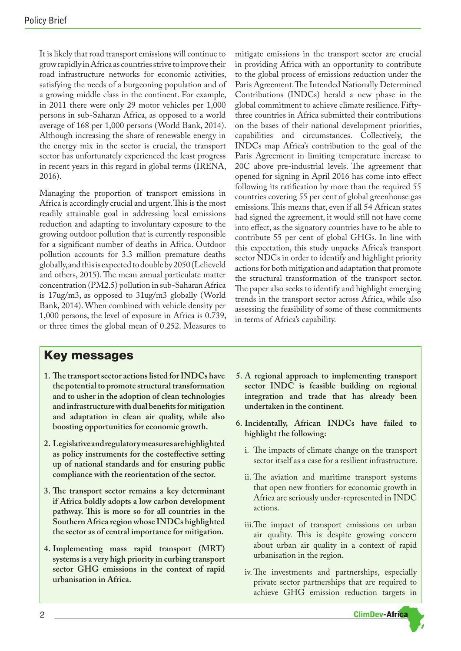It is likely that road transport emissions will continue to grow rapidly in Africa as countries strive to improve their road infrastructure networks for economic activities, satisfying the needs of a burgeoning population and of a growing middle class in the continent. For example, in 2011 there were only 29 motor vehicles per 1,000 persons in sub-Saharan Africa, as opposed to a world average of 168 per 1,000 persons (World Bank, 2014). Although increasing the share of renewable energy in the energy mix in the sector is crucial, the transport sector has unfortunately experienced the least progress in recent years in this regard in global terms (IRENA, 2016).

Managing the proportion of transport emissions in Africa is accordingly crucial and urgent. This is the most readily attainable goal in addressing local emissions reduction and adapting to involuntary exposure to the growing outdoor pollution that is currently responsible for a significant number of deaths in Africa. Outdoor pollution accounts for 3.3 million premature deaths globally, and this is expected to double by 2050 (Lelieveld and others, 2015). The mean annual particulate matter concentration (PM2.5) pollution in sub-Saharan Africa is 17ug/m3, as opposed to 31ug/m3 globally (World Bank, 2014). When combined with vehicle density per 1,000 persons, the level of exposure in Africa is 0.739, or three times the global mean of 0.252. Measures to

mitigate emissions in the transport sector are crucial in providing Africa with an opportunity to contribute to the global process of emissions reduction under the Paris Agreement. The Intended Nationally Determined Contributions (INDCs) herald a new phase in the global commitment to achieve climate resilience. Fiftythree countries in Africa submitted their contributions on the bases of their national development priorities, capabilities and circumstances. Collectively, the INDCs map Africa's contribution to the goal of the Paris Agreement in limiting temperature increase to 20C above pre-industrial levels. The agreement that opened for signing in April 2016 has come into effect following its ratification by more than the required 55 countries covering 55 per cent of global greenhouse gas emissions. This means that, even if all 54 African states had signed the agreement, it would still not have come into effect, as the signatory countries have to be able to contribute 55 per cent of global GHGs. In line with this expectation, this study unpacks Africa's transport sector NDCs in order to identify and highlight priority actions for both mitigation and adaptation that promote the structural transformation of the transport sector. The paper also seeks to identify and highlight emerging trends in the transport sector across Africa, while also assessing the feasibility of some of these commitments in terms of Africa's capability.

#### Key messages

- **1. The transport sector actions listed for INDCs have the potential to promote structural transformation and to usher in the adoption of clean technologies and infrastructure with dual benefits for mitigation and adaptation in clean air quality, while also boosting opportunities for economic growth.**
- **2. Legislative and regulatory measures are highlighted as policy instruments for the costeffective setting up of national standards and for ensuring public compliance with the reorientation of the sector.**
- **3. The transport sector remains a key determinant if Africa boldly adopts a low carbon development pathway. This is more so for all countries in the Southern Africa region whose INDCs highlighted the sector as of central importance for mitigation.**
- **4. Implementing mass rapid transport (MRT) systems is a very high priority in curbing transport sector GHG emissions in the context of rapid urbanisation in Africa.**
- **5. A regional approach to implementing transport sector INDC is feasible building on regional integration and trade that has already been undertaken in the continent.**
- **6. Incidentally, African INDCs have failed to highlight the following:** 
	- i. The impacts of climate change on the transport sector itself as a case for a resilient infrastructure.
	- ii. The aviation and maritime transport systems that open new frontiers for economic growth in Africa are seriously under-represented in INDC actions.
	- iii.The impact of transport emissions on urban air quality. This is despite growing concern about urban air quality in a context of rapid urbanisation in the region.
	- iv.The investments and partnerships, especially private sector partnerships that are required to achieve GHG emission reduction targets in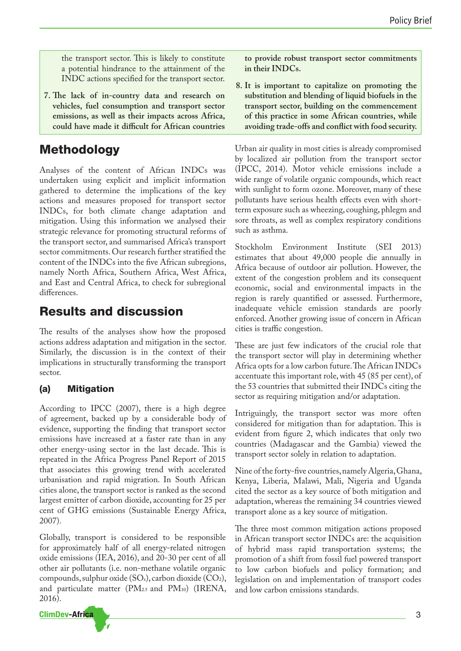the transport sector. This is likely to constitute a potential hindrance to the attainment of the INDC actions specified for the transport sector.

**7. The lack of in-country data and research on vehicles, fuel consumption and transport sector emissions, as well as their impacts across Africa, could have made it difficult for African countries** 

# Methodology

Analyses of the content of African INDCs was undertaken using explicit and implicit information gathered to determine the implications of the key actions and measures proposed for transport sector INDCs, for both climate change adaptation and mitigation. Using this information we analysed their strategic relevance for promoting structural reforms of the transport sector, and summarised Africa's transport sector commitments. Our research further stratified the content of the INDCs into the five African subregions, namely North Africa, Southern Africa, West Africa, and East and Central Africa, to check for subregional differences.

## Results and discussion

The results of the analyses show how the proposed actions address adaptation and mitigation in the sector. Similarly, the discussion is in the context of their implications in structurally transforming the transport sector.

#### (a) Mitigation

According to IPCC (2007), there is a high degree of agreement, backed up by a considerable body of evidence, supporting the finding that transport sector emissions have increased at a faster rate than in any other energy-using sector in the last decade. This is repeated in the Africa Progress Panel Report of 2015 that associates this growing trend with accelerated urbanisation and rapid migration. In South African cities alone, the transport sector is ranked as the second largest emitter of carbon dioxide, accounting for 25 per cent of GHG emissions (Sustainable Energy Africa, 2007).

Globally, transport is considered to be responsible for approximately half of all energy-related nitrogen oxide emissions (IEA, 2016), and 20-30 per cent of all other air pollutants (i.e. non-methane volatile organic compounds, sulphur oxide (SOx), carbon dioxide (CO2), and particulate matter (PM2.5 and PM10) (IRENA, 2016).



**to provide robust transport sector commitments in their INDCs.**

**8. It is important to capitalize on promoting the substitution and blending of liquid biofuels in the transport sector, building on the commencement of this practice in some African countries, while avoiding trade-offs and conflict with food security.**

Urban air quality in most cities is already compromised by localized air pollution from the transport sector (IPCC, 2014). Motor vehicle emissions include a wide range of volatile organic compounds, which react with sunlight to form ozone. Moreover, many of these pollutants have serious health effects even with shortterm exposure such as wheezing, coughing, phlegm and sore throats, as well as complex respiratory conditions such as asthma.

Stockholm Environment Institute (SEI 2013) estimates that about 49,000 people die annually in Africa because of outdoor air pollution. However, the extent of the congestion problem and its consequent economic, social and environmental impacts in the region is rarely quantified or assessed. Furthermore, inadequate vehicle emission standards are poorly enforced. Another growing issue of concern in African cities is traffic congestion.

These are just few indicators of the crucial role that the transport sector will play in determining whether Africa opts for a low carbon future. The African INDCs accentuate this important role, with 45 (85 per cent), of the 53 countries that submitted their INDCs citing the sector as requiring mitigation and/or adaptation.

Intriguingly, the transport sector was more often considered for mitigation than for adaptation. This is evident from figure 2, which indicates that only two countries (Madagascar and the Gambia) viewed the transport sector solely in relation to adaptation.

Nine of the forty-five countries, namely Algeria, Ghana, Kenya, Liberia, Malawi, Mali, Nigeria and Uganda cited the sector as a key source of both mitigation and adaptation, whereas the remaining 34 countries viewed transport alone as a key source of mitigation.

The three most common mitigation actions proposed in African transport sector INDCs are: the acquisition of hybrid mass rapid transportation systems; the promotion of a shift from fossil fuel powered transport to low carbon biofuels and policy formation; and legislation on and implementation of transport codes and low carbon emissions standards.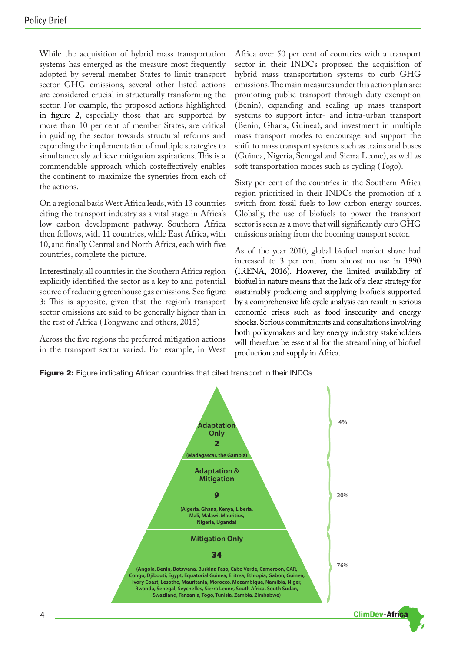While the acquisition of hybrid mass transportation systems has emerged as the measure most frequently adopted by several member States to limit transport sector GHG emissions, several other listed actions are considered crucial in structurally transforming the sector. For example, the proposed actions highlighted in figure 2, especially those that are supported by more than 10 per cent of member States, are critical in guiding the sector towards structural reforms and expanding the implementation of multiple strategies to simultaneously achieve mitigation aspirations. This is a commendable approach which costeffectively enables the continent to maximize the synergies from each of the actions.

On a regional basis West Africa leads, with 13 countries citing the transport industry as a vital stage in Africa's low carbon development pathway. Southern Africa then follows, with 11 countries, while East Africa, with 10, and finally Central and North Africa, each with five countries, complete the picture.

Interestingly, all countries in the Southern Africa region explicitly identified the sector as a key to and potential source of reducing greenhouse gas emissions. See figure 3: This is apposite, given that the region's transport sector emissions are said to be generally higher than in the rest of Africa (Tongwane and others, 2015)

Across the five regions the preferred mitigation actions in the transport sector varied. For example, in West Africa over 50 per cent of countries with a transport sector in their INDCs proposed the acquisition of hybrid mass transportation systems to curb GHG emissions. The main measures under this action plan are: promoting public transport through duty exemption (Benin), expanding and scaling up mass transport systems to support inter- and intra-urban transport (Benin, Ghana, Guinea), and investment in multiple mass transport modes to encourage and support the shift to mass transport systems such as trains and buses (Guinea, Nigeria, Senegal and Sierra Leone), as well as soft transportation modes such as cycling (Togo).

Sixty per cent of the countries in the Southern Africa region prioritised in their INDCs the promotion of a switch from fossil fuels to low carbon energy sources. Globally, the use of biofuels to power the transport sector is seen as a move that will significantly curb GHG emissions arising from the booming transport sector.

As of the year 2010, global biofuel market share had increased to 3 per cent from almost no use in 1990 (IRENA, 2016). However, the limited availability of biofuel in nature means that the lack of a clear strategy for sustainably producing and supplying biofuels supported by a comprehensive life cycle analysis can result in serious economic crises such as food insecurity and energy shocks. Serious commitments and consultations involving both policymakers and key energy industry stakeholders will therefore be essential for the streamlining of biofuel production and supply in Africa.

Figure 2: Figure indicating African countries that cited transport in their INDCs

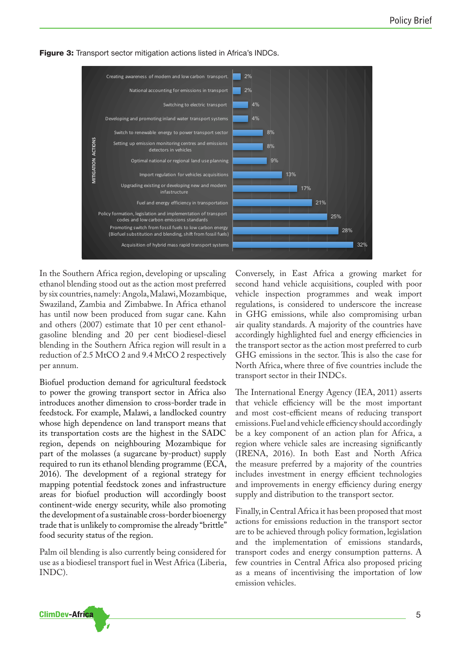

Figure 3: Transport sector mitigation actions listed in Africa's INDCs.

In the Southern Africa region, developing or upscaling ethanol blending stood out as the action most preferred by six countries, namely: Angola, Malawi, Mozambique, Swaziland, Zambia and Zimbabwe. In Africa ethanol has until now been produced from sugar cane. Kahn and others (2007) estimate that 10 per cent ethanolgasoline blending and 20 per cent biodiesel-diesel blending in the Southern Africa region will result in a reduction of 2.5 MtCO 2 and 9.4 MtCO 2 respectively per annum.

Biofuel production demand for agricultural feedstock to power the growing transport sector in Africa also introduces another dimension to cross-border trade in feedstock. For example, Malawi, a landlocked country whose high dependence on land transport means that its transportation costs are the highest in the SADC region, depends on neighbouring Mozambique for part of the molasses (a sugarcane by-product) supply required to run its ethanol blending programme (ECA, 2016). The development of a regional strategy for mapping potential feedstock zones and infrastructure areas for biofuel production will accordingly boost continent-wide energy security, while also promoting the development of a sustainable cross-border bioenergy trade that is unlikely to compromise the already "brittle" food security status of the region.

Palm oil blending is also currently being considered for use as a biodiesel transport fuel in West Africa (Liberia, INDC).

Conversely, in East Africa a growing market for second hand vehicle acquisitions, coupled with poor vehicle inspection programmes and weak import regulations, is considered to underscore the increase in GHG emissions, while also compromising urban air quality standards. A majority of the countries have accordingly highlighted fuel and energy efficiencies in the transport sector as the action most preferred to curb GHG emissions in the sector. This is also the case for North Africa, where three of five countries include the transport sector in their INDCs.

The International Energy Agency (IEA, 2011) asserts that vehicle efficiency will be the most important and most cost-efficient means of reducing transport emissions. Fuel and vehicle efficiency should accordingly be a key component of an action plan for Africa, a region where vehicle sales are increasing significantly (IRENA, 2016). In both East and North Africa the measure preferred by a majority of the countries includes investment in energy efficient technologies and improvements in energy efficiency during energy supply and distribution to the transport sector.

Finally, in Central Africa it has been proposed that most actions for emissions reduction in the transport sector are to be achieved through policy formation, legislation and the implementation of emissions standards, transport codes and energy consumption patterns. A few countries in Central Africa also proposed pricing as a means of incentivising the importation of low emission vehicles.

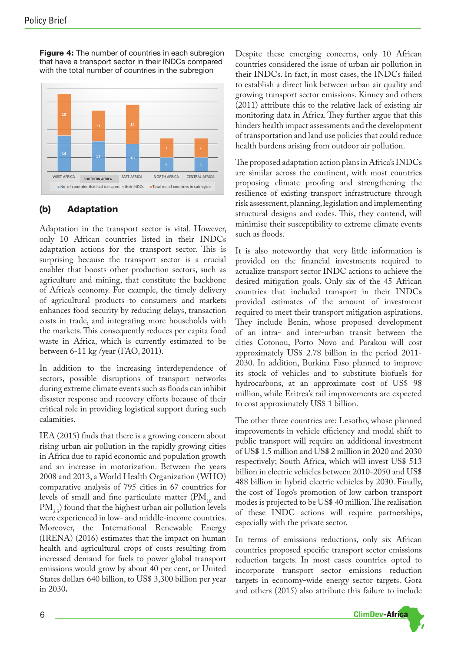Figure 4: The number of countries in each subregion that have a transport sector in their INDCs compared with the total number of countries in the subregion



#### (b) Adaptation

Adaptation in the transport sector is vital. However, only 10 African countries listed in their INDCs adaptation actions for the transport sector. This is surprising because the transport sector is a crucial enabler that boosts other production sectors, such as agriculture and mining, that constitute the backbone of Africa's economy. For example, the timely delivery of agricultural products to consumers and markets enhances food security by reducing delays, transaction costs in trade, and integrating more households with the markets. This consequently reduces per capita food waste in Africa, which is currently estimated to be between 6-11 kg /year (FAO, 2011).

In addition to the increasing interdependence of sectors, possible disruptions of transport networks during extreme climate events such as floods can inhibit disaster response and recovery efforts because of their critical role in providing logistical support during such calamities.

IEA (2015) finds that there is a growing concern about rising urban air pollution in the rapidly growing cities in Africa due to rapid economic and population growth and an increase in motorization. Between the years 2008 and 2013, a World Health Organization (WHO) comparative analysis of 795 cities in 67 countries for levels of small and fine particulate matter  $(PM_{10}$  and  $PM_{25}$  found that the highest urban air pollution levels were experienced in low- and middle-income countries. Moreover, the International Renewable Energy (IRENA) (2016) estimates that the impact on human health and agricultural crops of costs resulting from increased demand for fuels to power global transport emissions would grow by about 40 per cent, or United States dollars 640 billion, to US\$ 3,300 billion per year in 2030**.** 

Despite these emerging concerns, only 10 African countries considered the issue of urban air pollution in their INDCs. In fact, in most cases, the INDCs failed to establish a direct link between urban air quality and growing transport sector emissions. Kinney and others (2011) attribute this to the relative lack of existing air monitoring data in Africa. They further argue that this hinders health impact assessments and the development of transportation and land use policies that could reduce health burdens arising from outdoor air pollution.

The proposed adaptation action plans in Africa's INDCs are similar across the continent, with most countries proposing climate proofing and strengthening the resilience of existing transport infrastructure through risk assessment, planning, legislation and implementing structural designs and codes. This, they contend, will minimise their susceptibility to extreme climate events such as floods.

It is also noteworthy that very little information is provided on the financial investments required to actualize transport sector INDC actions to achieve the desired mitigation goals. Only six of the 45 African countries that included transport in their INDCs provided estimates of the amount of investment required to meet their transport mitigation aspirations. They include Benin, whose proposed development of an intra- and inter-urban transit between the cities Cotonou, Porto Novo and Parakou will cost approximately US\$ 2.78 billion in the period 2011- 2030. In addition, Burkina Faso planned to improve its stock of vehicles and to substitute biofuels for hydrocarbons, at an approximate cost of US\$ 98 million, while Eritrea's rail improvements are expected to cost approximately US\$ 1 billion.

The other three countries are: Lesotho, whose planned improvements in vehicle efficiency and modal shift to public transport will require an additional investment of US\$ 1.5 million and US\$ 2 million in 2020 and 2030 respectively; South Africa, which will invest US\$ 513 billion in electric vehicles between 2010-2050 and US\$ 488 billion in hybrid electric vehicles by 2030. Finally, the cost of Togo's promotion of low carbon transport modes is projected to be US\$ 40 million. The realisation of these INDC actions will require partnerships, especially with the private sector.

In terms of emissions reductions, only six African countries proposed specific transport sector emissions reduction targets. In most cases countries opted to incorporate transport sector emissions reduction targets in economy-wide energy sector targets. Gota and others (2015) also attribute this failure to include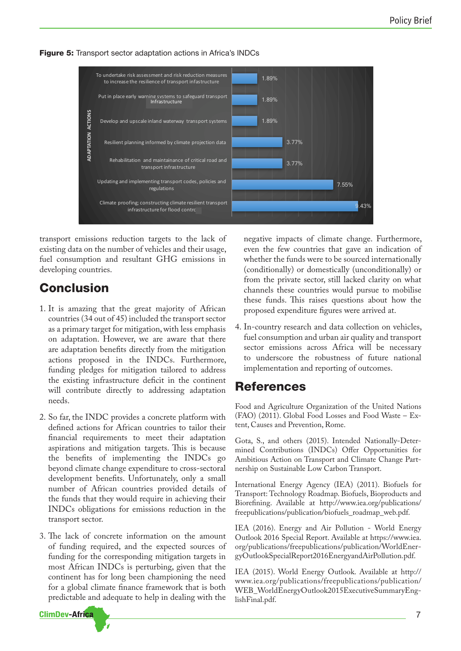

**Figure 5:** Transport sector adaptation actions in Africa's INDCs

transport emissions reduction targets to the lack of existing data on the number of vehicles and their usage, fuel consumption and resultant GHG emissions in developing countries.

# Conclusion

**ClimDev-Africa** 

- 1. It is amazing that the great majority of African countries (34 out of 45) included the transport sector as a primary target for mitigation, with less emphasis on adaptation. However, we are aware that there are adaptation benefits directly from the mitigation actions proposed in the INDCs. Furthermore, funding pledges for mitigation tailored to address the existing infrastructure deficit in the continent will contribute directly to addressing adaptation needs.
- 2. So far, the INDC provides a concrete platform with defined actions for African countries to tailor their financial requirements to meet their adaptation aspirations and mitigation targets. This is because the benefits of implementing the INDCs go beyond climate change expenditure to cross-sectoral development benefits. Unfortunately, only a small number of African countries provided details of the funds that they would require in achieving their INDCs obligations for emissions reduction in the transport sector.
- 3. The lack of concrete information on the amount of funding required, and the expected sources of funding for the corresponding mitigation targets in most African INDCs is perturbing, given that the continent has for long been championing the need for a global climate finance framework that is both predictable and adequate to help in dealing with the

negative impacts of climate change. Furthermore, even the few countries that gave an indication of whether the funds were to be sourced internationally (conditionally) or domestically (unconditionally) or from the private sector, still lacked clarity on what channels these countries would pursue to mobilise these funds. This raises questions about how the proposed expenditure figures were arrived at.

4. In-country research and data collection on vehicles, fuel consumption and urban air quality and transport sector emissions across Africa will be necessary to underscore the robustness of future national implementation and reporting of outcomes.

#### References

Food and Agriculture Organization of the United Nations (FAO) (2011). Global Food Losses and Food Waste – Extent, Causes and Prevention, Rome.

Gota, S., and others (2015). Intended Nationally-Determined Contributions (INDCs) Offer Opportunities for Ambitious Action on Transport and Climate Change Partnership on Sustainable Low Carbon Transport.

International Energy Agency (IEA) (2011). Biofuels for Transport: Technology Roadmap. Biofuels, Bioproducts and Biorefining. Available at http://www.iea.org/publications/ freepublications/publication/biofuels\_roadmap\_web.pdf.

IEA (2016). Energy and Air Pollution - World Energy Outlook 2016 Special Report. Available at https://www.iea. org/publications/freepublications/publication/WorldEnergyOutlookSpecialReport2016EnergyandAirPollution.pdf.

IEA (2015). World Energy Outlook. Available at http:// www.iea.org/publications/freepublications/publication/ WEB\_WorldEnergyOutlook2015ExecutiveSummaryEnglishFinal.pdf.